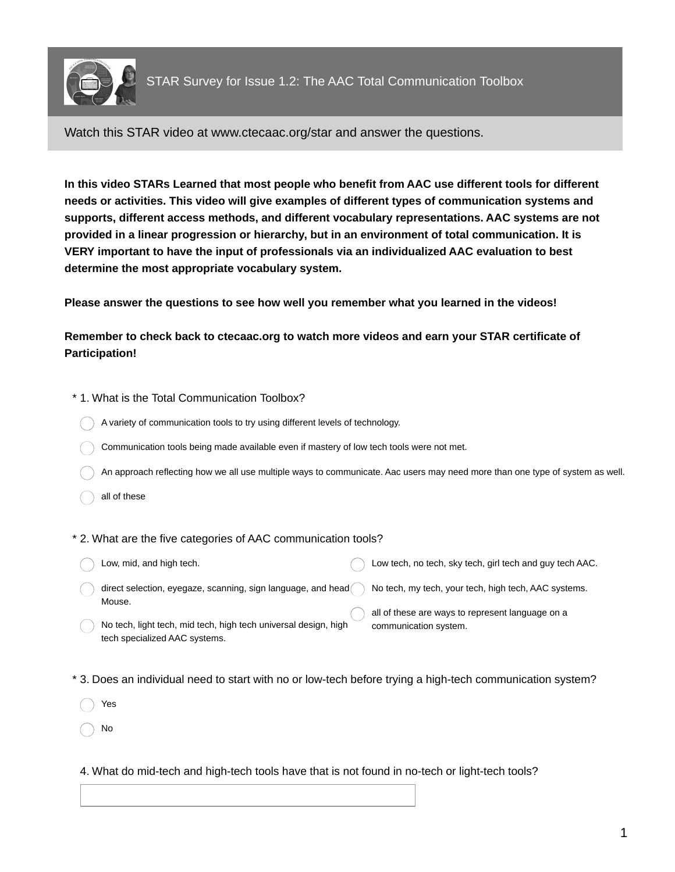

Watch this STAR video at www.ctecaac.org/star and answer the questions.

**In this video STARs Learned that most people who benefit from AAC use different tools for different needs or activities. This video will give examples of different types of communication systems and supports, different access methods, and different vocabulary representations. AAC systems are not provided in a linear progression or hierarchy, but in an environment of total communication. It is VERY important to have the input of professionals via an individualized AAC evaluation to best determine the most appropriate vocabulary system.**

**Please answer the questions to see how well you remember what you learned in the videos!**

**Remember to check back to ctecaac.org to watch more videos and earn your STAR certificate of Participation!**

| * 1. What is the Total Communication Toolbox?                                                                                                                                                                                                                                                                   |  |  |
|-----------------------------------------------------------------------------------------------------------------------------------------------------------------------------------------------------------------------------------------------------------------------------------------------------------------|--|--|
| A variety of communication tools to try using different levels of technology.                                                                                                                                                                                                                                   |  |  |
| Communication tools being made available even if mastery of low tech tools were not met.                                                                                                                                                                                                                        |  |  |
| An approach reflecting how we all use multiple ways to communicate. Aac users may need more than one type of system as well.                                                                                                                                                                                    |  |  |
| all of these                                                                                                                                                                                                                                                                                                    |  |  |
| * 2. What are the five categories of AAC communication tools?<br>Low, mid, and high tech.<br>Low tech, no tech, sky tech, girl tech and guy tech AAC.                                                                                                                                                           |  |  |
| direct selection, eyegaze, scanning, sign language, and head<br>No tech, my tech, your tech, high tech, AAC systems.<br>Mouse.<br>all of these are ways to represent language on a<br>No tech, light tech, mid tech, high tech universal design, high<br>communication system.<br>tech specialized AAC systems. |  |  |
| * 3. Does an individual need to start with no or low-tech before trying a high-tech communication system?<br>Yes<br>No                                                                                                                                                                                          |  |  |

4. What do mid-tech and high-tech tools have that is not found in no-tech or light-tech tools?